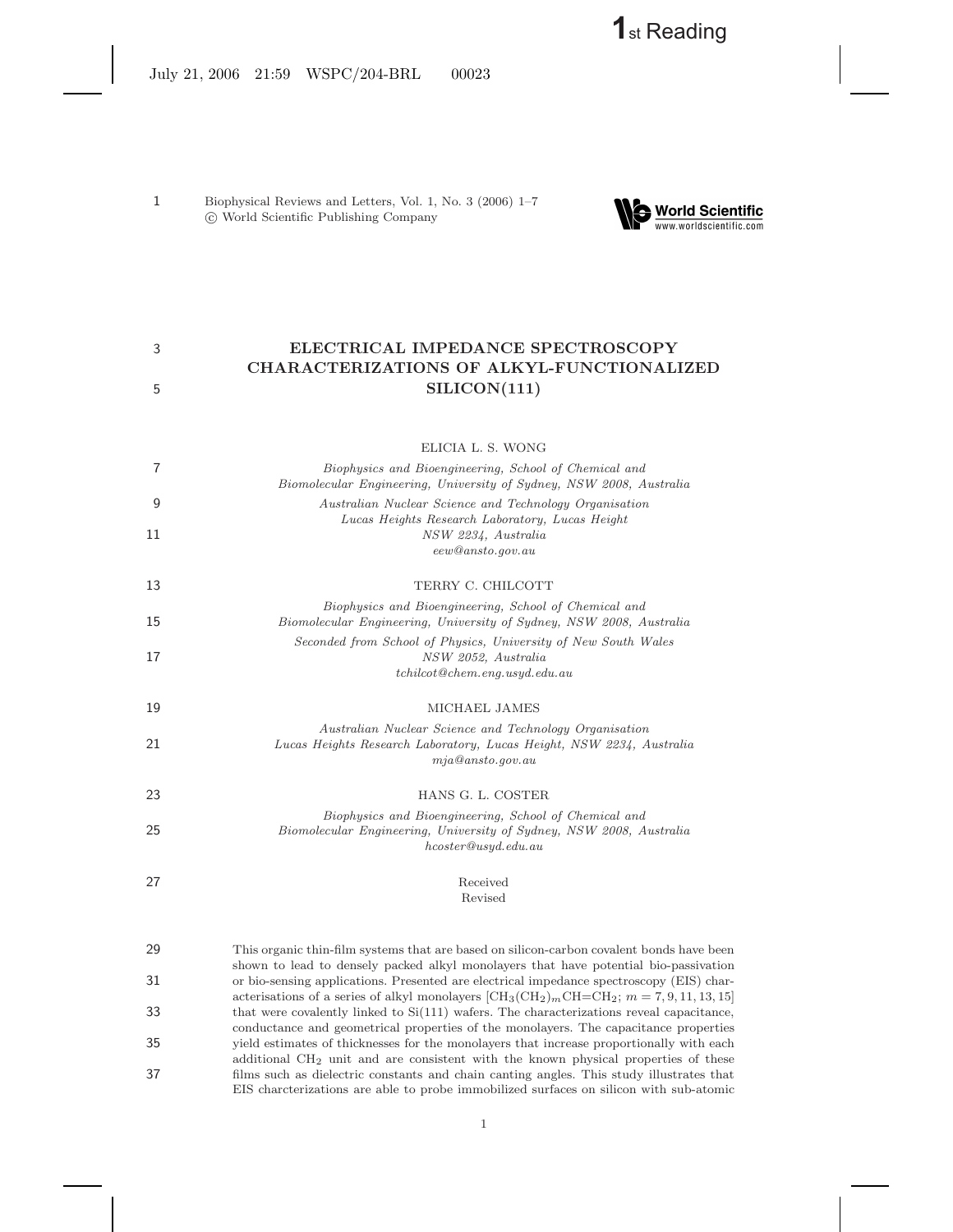**1**st Reading

July 21, 2006 21:59 WSPC/204-BRL 00023

1 Biophysical Reviews and Letters, Vol. 1, No. 3 (2006) 1–7 c World Scientific Publishing Company



# 3 **ELECTRICAL IMPEDANCE SPECTROSCOPY CHARACTERIZATIONS OF ALKYL-FUNCTIONALIZED** 5 **SILICON(111)**

ELICIA L. S. WONG 7 *Biophysics and Bioengineering, School of Chemical and Biomolecular Engineering, University of Sydney, NSW 2008, Australia* 9 *Australian Nuclear Science and Technology Organisation Lucas Heights Research Laboratory, Lucas Height* 11 *NSW 2234, Australia eew@ansto.gov.au* 13 TERRY C. CHILCOTT *Biophysics and Bioengineering, School of Chemical and* 15 *Biomolecular Engineering, University of Sydney, NSW 2008, Australia Seconded from School of Physics, University of New South Wales* 17 *NSW 2052, Australia tchilcot@chem.eng.usyd.edu.au* 19 MICHAEL JAMES *Australian Nuclear Science and Technology Organisation* 21 *Lucas Heights Research Laboratory, Lucas Height, NSW 2234, Australia mja@ansto.gov.au* 23 HANS G. L. COSTER *Biophysics and Bioengineering, School of Chemical and* 25 *Biomolecular Engineering, University of Sydney, NSW 2008, Australia hcoster@usyd.edu.au* 27 Received Revised

29 This organic thin-film systems that are based on silicon-carbon covalent bonds have been shown to lead to densely packed alkyl monolayers that have potential bio-passivation 31 or bio-sensing applications. Presented are electrical impedance spectroscopy (EIS) characterisations of a series of alkyl monolayers  $\left[\text{CH}_3(\text{CH}_2)_m\text{CH}=\text{CH}_2;\ m=7,9,11,13,15\right]$ 33 that were covalently linked to Si(111) wafers. The characterizations reveal capacitance, conductance and geometrical properties of the monolayers. The capacitance properties 35 yield estimates of thicknesses for the monolayers that increase proportionally with each additional CH<sup>2</sup> unit and are consistent with the known physical properties of these 37 films such as dielectric constants and chain canting angles. This study illustrates that EIS charcterizations are able to probe immobilized surfaces on silicon with sub-atomic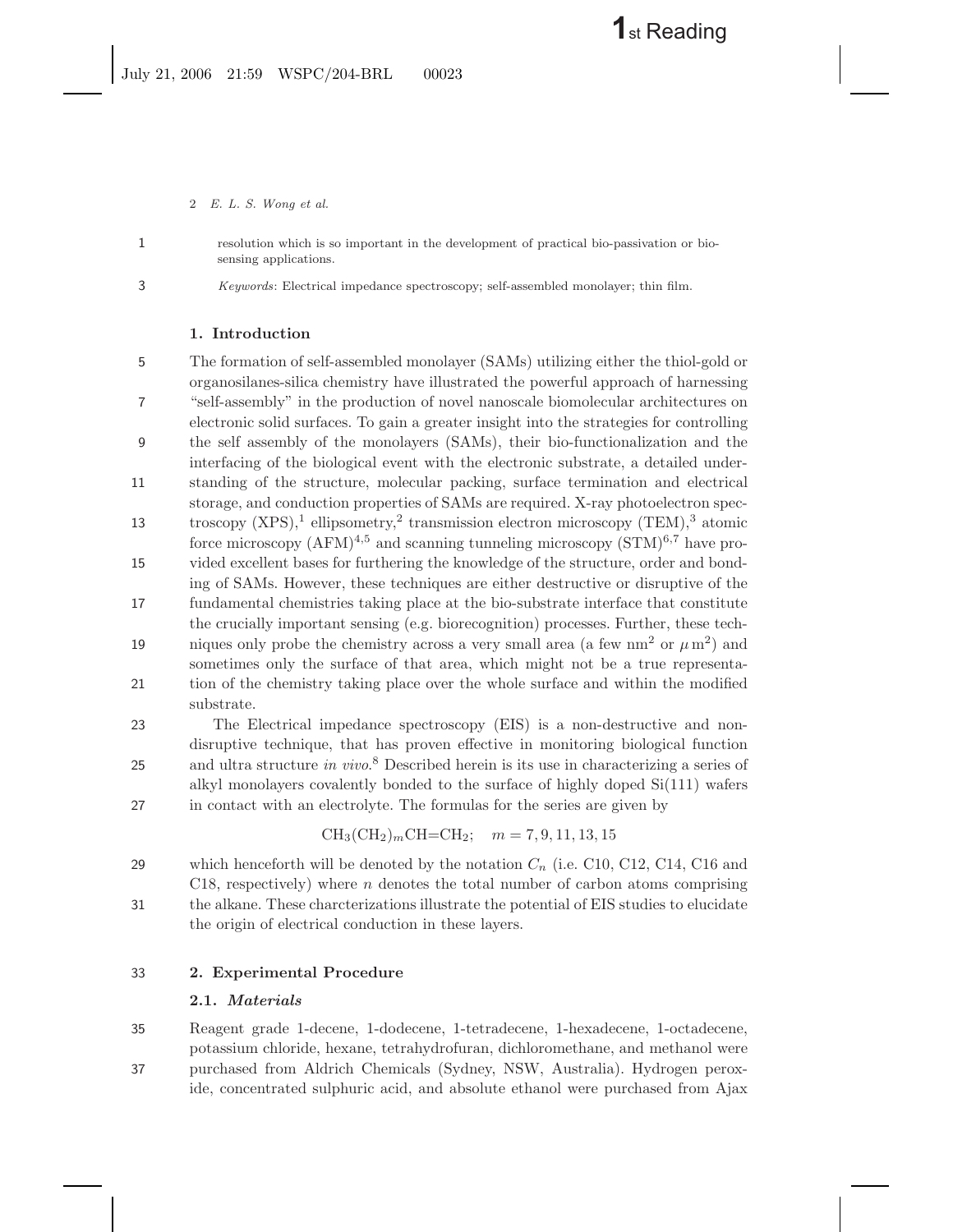2 *E. L. S. Wong et al.*

1 resolution which is so important in the development of practical bio-passivation or biosensing applications.

3 *Keywords*: Electrical impedance spectroscopy; self-assembled monolayer; thin film.

## **1. Introduction**

5 The formation of self-assembled monolayer (SAMs) utilizing either the thiol-gold or organosilanes-silica chemistry have illustrated the powerful approach of harnessing 7 "self-assembly" in the production of novel nanoscale biomolecular architectures on electronic solid surfaces. To gain a greater insight into the strategies for controlling 9 the self assembly of the monolayers (SAMs), their bio-functionalization and the interfacing of the biological event with the electronic substrate, a detailed under-11 standing of the structure, molecular packing, surface termination and electrical storage, and conduction properties of SAMs are required. X-ray photoelectron spectroscopy  $(XPS)$ ,<sup>1</sup> ellipsometry,<sup>2</sup> transmission electron microscopy  $(TEM)$ ,<sup>3</sup> atomic force microscopy  $(AFM)^{4,5}$  and scanning tunneling microscopy  $(STM)^{6,7}$  have pro-15 vided excellent bases for furthering the knowledge of the structure, order and bonding of SAMs. However, these techniques are either destructive or disruptive of the 17 fundamental chemistries taking place at the bio-substrate interface that constitute the crucially important sensing (e.g. biorecognition) processes. Further, these tech-19 iques only probe the chemistry across a very small area (a few nm<sup>2</sup> or  $\mu$  m<sup>2</sup>) and sometimes only the surface of that area, which might not be a true representa-21 tion of the chemistry taking place over the whole surface and within the modified substrate.

23 The Electrical impedance spectroscopy (EIS) is a non-destructive and nondisruptive technique, that has proven effective in monitoring biological function 25 and ultra structure *in vivo*.<sup>8</sup> Described herein is its use in characterizing a series of alkyl monolayers covalently bonded to the surface of highly doped Si(111) wafers 27 in contact with an electrolyte. The formulas for the series are given by

$$
CH_3(CH_2)_mCH=CH_2; \quad m = 7, 9, 11, 13, 15
$$

29 which henceforth will be denoted by the notation  $C_n$  (i.e. C10, C12, C14, C16 and C18, respectively) where  $n$  denotes the total number of carbon atoms comprising 31 the alkane. These charcterizations illustrate the potential of EIS studies to elucidate the origin of electrical conduction in these layers.

# 33 **2. Experimental Procedure**

# **2.1.** *Materials*

35 Reagent grade 1-decene, 1-dodecene, 1-tetradecene, 1-hexadecene, 1-octadecene, potassium chloride, hexane, tetrahydrofuran, dichloromethane, and methanol were 37 purchased from Aldrich Chemicals (Sydney, NSW, Australia). Hydrogen peroxide, concentrated sulphuric acid, and absolute ethanol were purchased from Ajax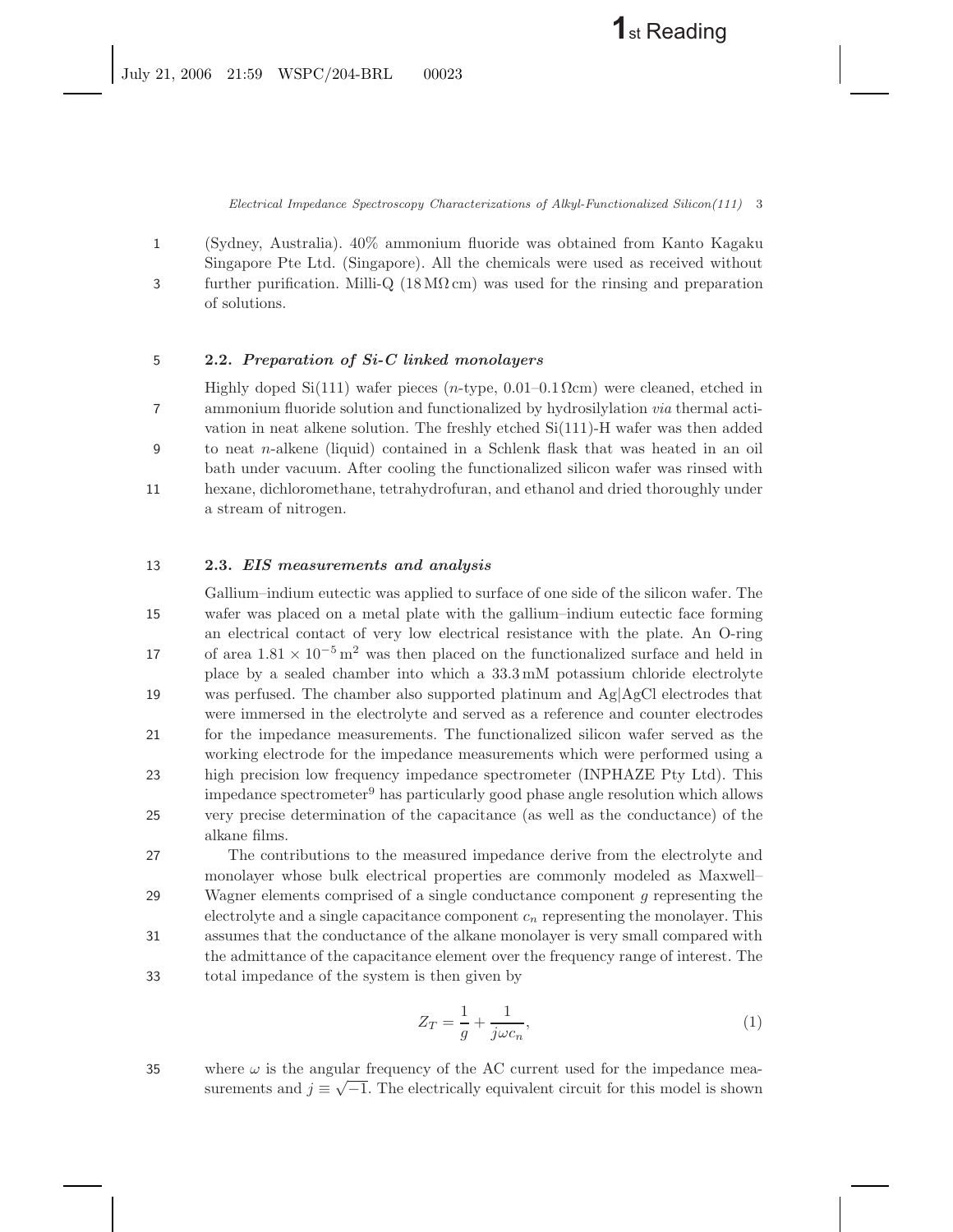*Electrical Impedance Spectroscopy Characterizations of Alkyl-Functionalized Silicon(111)* 3

1 (Sydney, Australia). 40% ammonium fluoride was obtained from Kanto Kagaku Singapore Pte Ltd. (Singapore). All the chemicals were used as received without 3 further purification. Milli-Q (18 MΩ cm) was used for the rinsing and preparation of solutions.

## 5 **2.2.** *Preparation of Si-C linked monolayers*

Highly doped Si(111) wafer pieces (n-type,  $0.01-0.1 \Omega$ cm) were cleaned, etched in 7 ammonium fluoride solution and functionalized by hydrosilylation *via* thermal activation in neat alkene solution. The freshly etched Si(111)-H wafer was then added 9 to neat n-alkene (liquid) contained in a Schlenk flask that was heated in an oil bath under vacuum. After cooling the functionalized silicon wafer was rinsed with 11 hexane, dichloromethane, tetrahydrofuran, and ethanol and dried thoroughly under

a stream of nitrogen.

### 13 **2.3.** *EIS measurements and analysis*

Gallium–indium eutectic was applied to surface of one side of the silicon wafer. The 15 wafer was placed on a metal plate with the gallium–indium eutectic face forming an electrical contact of very low electrical resistance with the plate. An O-ring 17 of area  $1.81 \times 10^{-5}$  m<sup>2</sup> was then placed on the functionalized surface and held in place by a sealed chamber into which a 33.3 mM potassium chloride electrolyte 19 was perfused. The chamber also supported platinum and  $Ag|AgCl$  electrodes that were immersed in the electrolyte and served as a reference and counter electrodes 21 for the impedance measurements. The functionalized silicon wafer served as the working electrode for the impedance measurements which were performed using a 23 high precision low frequency impedance spectrometer (INPHAZE Pty Ltd). This impedance spectrometer<sup>9</sup> has particularly good phase angle resolution which allows 25 very precise determination of the capacitance (as well as the conductance) of the alkane films.

27 The contributions to the measured impedance derive from the electrolyte and monolayer whose bulk electrical properties are commonly modeled as Maxwell– 29 Wagner elements comprised of a single conductance component g representing the electrolyte and a single capacitance component  $c_n$  representing the monolayer. This 31 assumes that the conductance of the alkane monolayer is very small compared with the admittance of the capacitance element over the frequency range of interest. The 33 total impedance of the system is then given by

$$
Z_T = \frac{1}{g} + \frac{1}{j\omega c_n},\tag{1}
$$

35 where  $\omega$  is the angular frequency of the AC current used for the impedance measurements and  $j \equiv \sqrt{-1}$ . The electrically equivalent circuit for this model is shown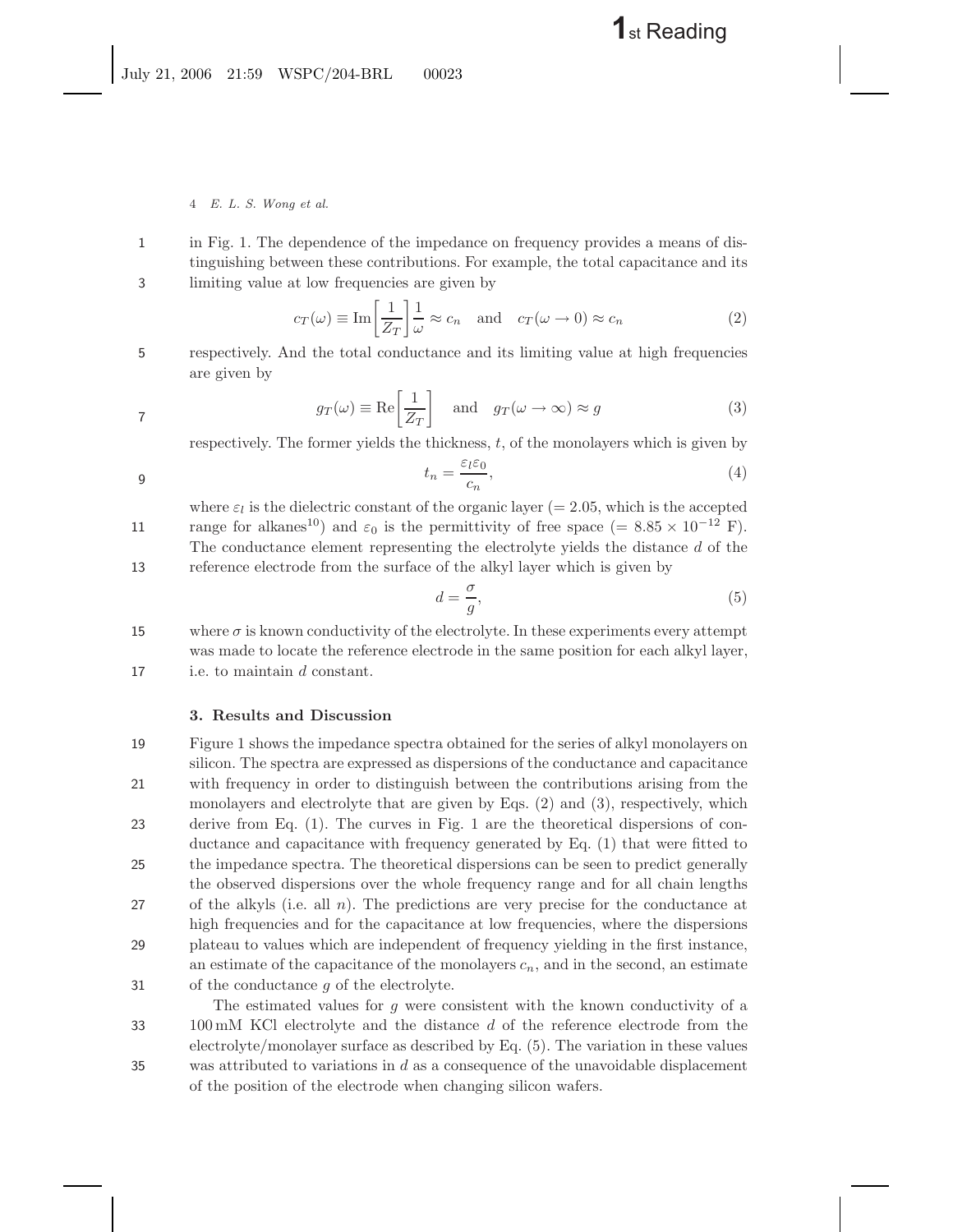# **1**st Reading

4 *E. L. S. Wong et al.*

1 in Fig. 1. The dependence of the impedance on frequency provides a means of distinguishing between these contributions. For example, the total capacitance and its 3 limiting value at low frequencies are given by

$$
c_T(\omega) \equiv \text{Im}\left[\frac{1}{Z_T}\right] \frac{1}{\omega} \approx c_n \quad \text{and} \quad c_T(\omega \to 0) \approx c_n \tag{2}
$$

5 respectively. And the total conductance and its limiting value at high frequencies are given by

$$
g_T(\omega) \equiv \text{Re}\left[\frac{1}{Z_T}\right] \quad \text{and} \quad g_T(\omega \to \infty) \approx g \tag{3}
$$

respectively. The former yields the thickness, t, of the monolayers which is given by

$$
t_n = \frac{\varepsilon_l \varepsilon_0}{c_n},\tag{4}
$$

where  $\varepsilon_l$  is the dielectric constant of the organic layer (= 2.05, which is the accepted 11 range for alkanes<sup>10</sup>) and  $\varepsilon_0$  is the permittivity of free space (= 8.85 × 10<sup>-12</sup> F). The conductance element representing the electrolyte yields the distance d of the

13 reference electrode from the surface of the alkyl layer which is given by

$$
d = \frac{\sigma}{g},\tag{5}
$$

15 where  $\sigma$  is known conductivity of the electrolyte. In these experiments every attempt was made to locate the reference electrode in the same position for each alkyl layer, 17 i.e. to maintain d constant.

### **3. Results and Discussion**

- 19 Figure 1 shows the impedance spectra obtained for the series of alkyl monolayers on silicon. The spectra are expressed as dispersions of the conductance and capacitance 21 with frequency in order to distinguish between the contributions arising from the monolayers and electrolyte that are given by Eqs. (2) and (3), respectively, which 23 derive from Eq. (1). The curves in Fig. 1 are the theoretical dispersions of conductance and capacitance with frequency generated by Eq. (1) that were fitted to 25 the impedance spectra. The theoretical dispersions can be seen to predict generally the observed dispersions over the whole frequency range and for all chain lengths 27 of the alkyls (i.e. all  $n$ ). The predictions are very precise for the conductance at high frequencies and for the capacitance at low frequencies, where the dispersions 29 plateau to values which are independent of frequency yielding in the first instance, an estimate of the capacitance of the monolayers  $c_n$ , and in the second, an estimate 31 of the conductance  $g$  of the electrolyte.
- The estimated values for g were consistent with the known conductivity of a 33 100 mM KCl electrolyte and the distance d of the reference electrode from the electrolyte/monolayer surface as described by Eq. (5). The variation in these values 35 was attributed to variations in  $d$  as a consequence of the unavoidable displacement of the position of the electrode when changing silicon wafers.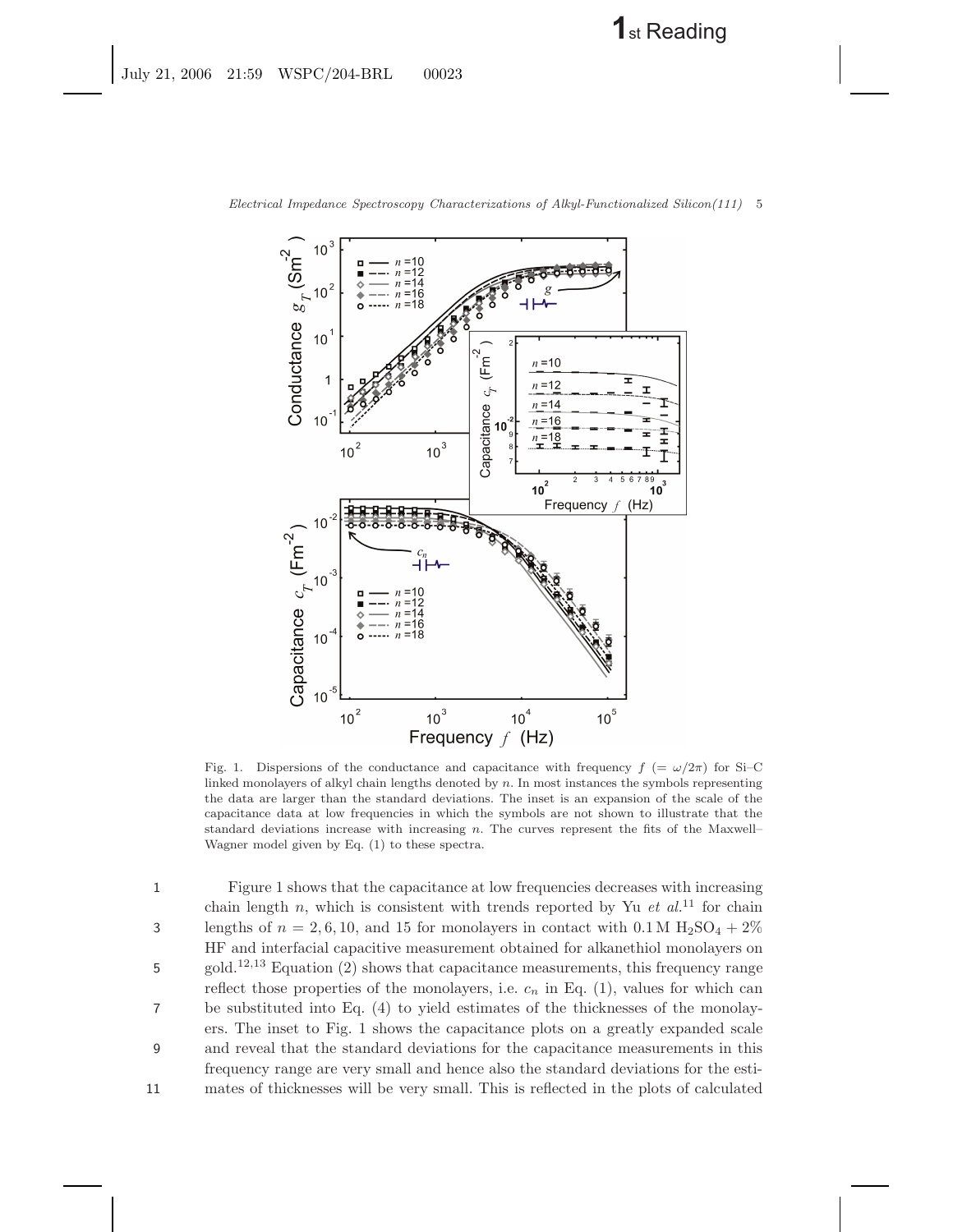

*Electrical Impedance Spectroscopy Characterizations of Alkyl-Functionalized Silicon(111)* 5

Fig. 1. Dispersions of the conductance and capacitance with frequency  $f = \omega/2\pi$  for Si–C linked monolayers of alkyl chain lengths denoted by  $n$ . In most instances the symbols representing the data are larger than the standard deviations. The inset is an expansion of the scale of the capacitance data at low frequencies in which the symbols are not shown to illustrate that the standard deviations increase with increasing  $n$ . The curves represent the fits of the Maxwell– Wagner model given by Eq. (1) to these spectra.

1 Figure 1 shows that the capacitance at low frequencies decreases with increasing chain length  $n$ , which is consistent with trends reported by Yu *et al.*<sup>11</sup> for chain 3 lengths of  $n = 2, 6, 10$ , and 15 for monolayers in contact with 0.1 M H<sub>2</sub>SO<sub>4</sub> + 2% HF and interfacial capacitive measurement obtained for alkanethiol monolayers on 5 gold.<sup>12,13</sup> Equation (2) shows that capacitance measurements, this frequency range reflect those properties of the monolayers, i.e.  $c_n$  in Eq.  $(1)$ , values for which can 7 be substituted into Eq. (4) to yield estimates of the thicknesses of the monolayers. The inset to Fig. 1 shows the capacitance plots on a greatly expanded scale 9 and reveal that the standard deviations for the capacitance measurements in this frequency range are very small and hence also the standard deviations for the esti-11 mates of thicknesses will be very small. This is reflected in the plots of calculated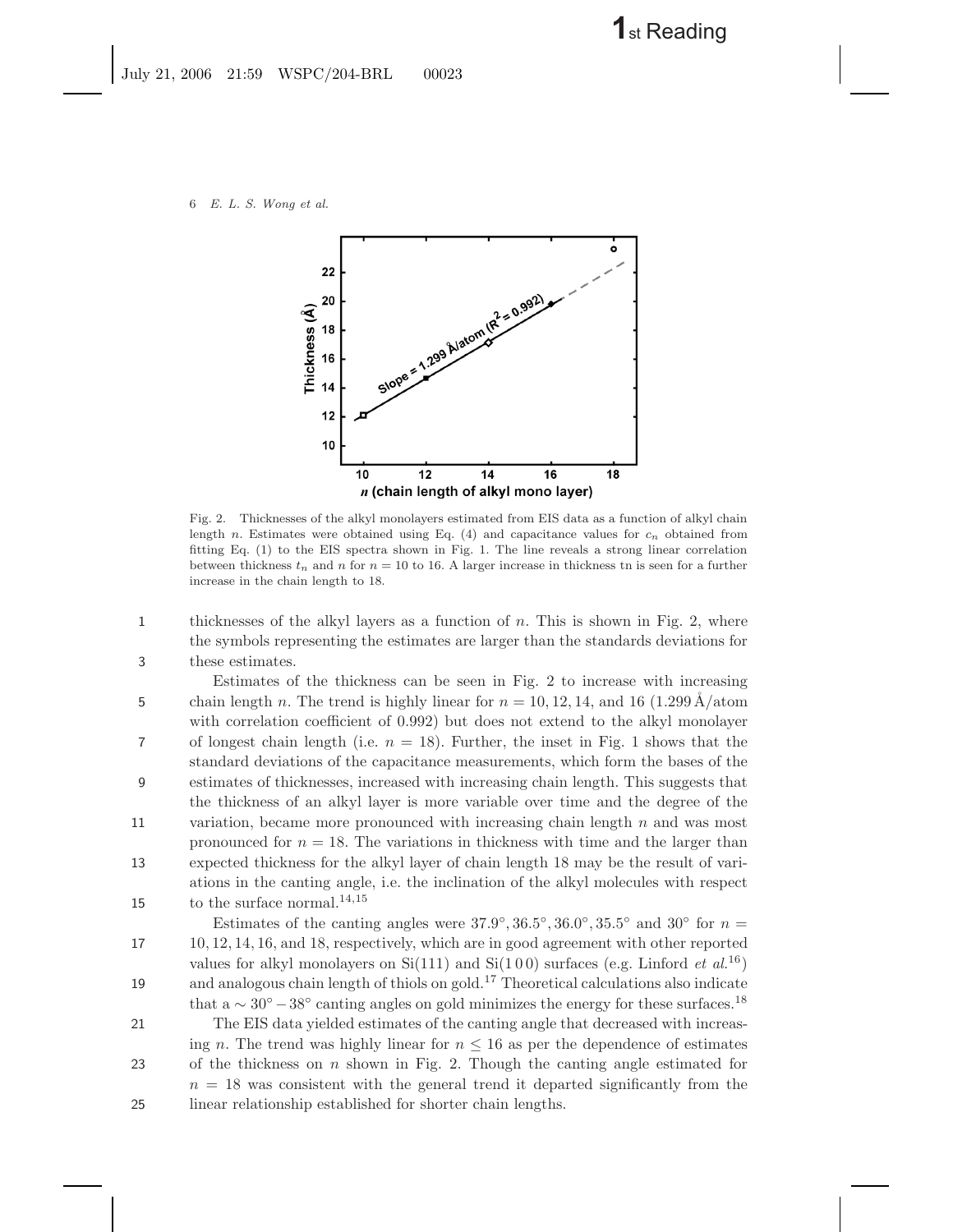July 21, 2006 21:59 WSPC/204-BRL 00023

6 *E. L. S. Wong et al.*



Fig. 2. Thicknesses of the alkyl monolayers estimated from EIS data as a function of alkyl chain length n. Estimates were obtained using Eq. (4) and capacitance values for c*<sup>n</sup>* obtained from fitting Eq. (1) to the EIS spectra shown in Fig. 1. The line reveals a strong linear correlation between thickness  $t_n$  and n for  $n = 10$  to 16. A larger increase in thickness tn is seen for a further increase in the chain length to 18.

1 thicknesses of the alkyl layers as a function of n. This is shown in Fig. 2, where the symbols representing the estimates are larger than the standards deviations for 3 these estimates.

Estimates of the thickness can be seen in Fig. 2 to increase with increasing 5 chain length n. The trend is highly linear for  $n = 10, 12, 14$ , and 16 (1.299 Å/atom with correlation coefficient of 0.992) but does not extend to the alkyl monolayer 7 of longest chain length (i.e.  $n = 18$ ). Further, the inset in Fig. 1 shows that the standard deviations of the capacitance measurements, which form the bases of the 9 estimates of thicknesses, increased with increasing chain length. This suggests that the thickness of an alkyl layer is more variable over time and the degree of the 11 variation, became more pronounced with increasing chain length  $n$  and was most pronounced for  $n = 18$ . The variations in thickness with time and the larger than 13 expected thickness for the alkyl layer of chain length 18 may be the result of variations in the canting angle, i.e. the inclination of the alkyl molecules with respect 15 to the surface normal.<sup>14,15</sup>

Estimates of the canting angles were  $37.9°$ ,  $36.5°$ ,  $36.0°$ ,  $35.5°$  and  $30°$  for  $n =$ 17 10, 12, 14, 16, and 18, respectively, which are in good agreement with other reported values for alkyl monolayers on  $Si(111)$  and  $Si(100)$  surfaces (e.g. Linford *et al.*<sup>16</sup>) and analogous chain length of thiols on gold.<sup>17</sup> Theoretical calculations also indicate that a  $\sim 30^{\circ} - 38^{\circ}$  canting angles on gold minimizes the energy for these surfaces.<sup>18</sup> 21 The EIS data yielded estimates of the canting angle that decreased with increasing n. The trend was highly linear for  $n \leq 16$  as per the dependence of estimates 23 of the thickness on n shown in Fig. 2. Though the canting angle estimated for

 $n = 18$  was consistent with the general trend it departed significantly from the 25 linear relationship established for shorter chain lengths.